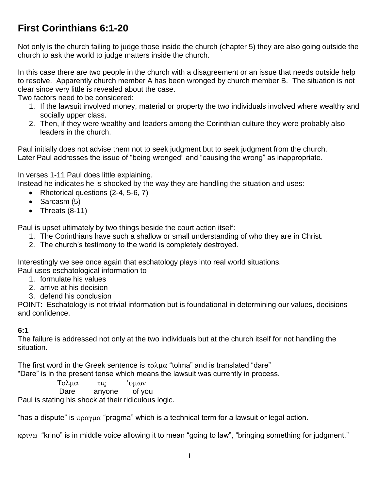# **First Corinthians 6:1-20**

Not only is the church failing to judge those inside the church (chapter 5) they are also going outside the church to ask the world to judge matters inside the church.

In this case there are two people in the church with a disagreement or an issue that needs outside help to resolve. Apparently church member A has been wronged by church member B. The situation is not clear since very little is revealed about the case.

Two factors need to be considered:

- 1. If the lawsuit involved money, material or property the two individuals involved where wealthy and socially upper class.
- 2. Then, if they were wealthy and leaders among the Corinthian culture they were probably also leaders in the church.

Paul initially does not advise them not to seek judgment but to seek judgment from the church. Later Paul addresses the issue of "being wronged" and "causing the wrong" as inappropriate.

In verses 1-11 Paul does little explaining.

Instead he indicates he is shocked by the way they are handling the situation and uses:

- Rhetorical questions (2-4, 5-6, 7)
- $\bullet$  Sarcasm (5)
- Threats  $(8-11)$

Paul is upset ultimately by two things beside the court action itself:

- 1. The Corinthians have such a shallow or small understanding of who they are in Christ.
- 2. The church's testimony to the world is completely destroyed.

Interestingly we see once again that eschatology plays into real world situations. Paul uses eschatological information to

- 1. formulate his values
- 2. arrive at his decision
- 3. defend his conclusion

POINT: Eschatology is not trivial information but is foundational in determining our values, decisions and confidence.

#### **6:1**

The failure is addressed not only at the two individuals but at the church itself for not handling the situation.

The first word in the Greek sentence is  $\tau o \lambda \mu \alpha$  "tolma" and is translated "dare" "Dare" is in the present tense which means the lawsuit was currently in process.

Τολμα τις 'υμων

Dare anyone of you

Paul is stating his shock at their ridiculous logic.

"has a dispute" is  $\pi \rho \alpha \gamma \mu \alpha$  "pragma" which is a technical term for a lawsuit or legal action.

"krino" is in middle voice allowing it to mean "going to law", "bringing something for judgment."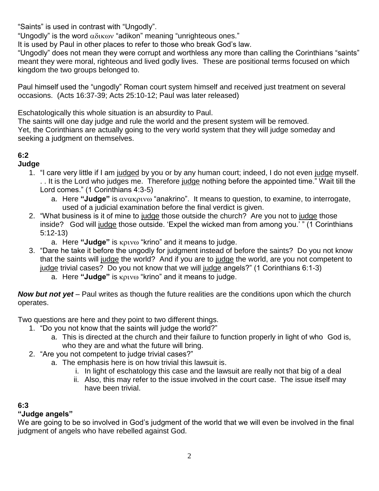"Saints" is used in contrast with "Ungodly".

"Ungodly" is the word  $\alpha\delta x\omega$  "adikon" meaning "unrighteous ones."

It is used by Paul in other places to refer to those who break God's law.

"Ungodly" does not mean they were corrupt and worthless any more than calling the Corinthians "saints" meant they were moral, righteous and lived godly lives. These are positional terms focused on which kingdom the two groups belonged to.

Paul himself used the "ungodly" Roman court system himself and received just treatment on several occasions. (Acts 16:37-39; Acts 25:10-12; Paul was later released)

Eschatologically this whole situation is an absurdity to Paul.

The saints will one day judge and rule the world and the present system will be removed. Yet, the Corinthians are actually going to the very world system that they will judge someday and seeking a judgment on themselves.

## **6:2**

#### **Judge**

- 1. "I care very little if I am judged by you or by any human court; indeed, I do not even judge myself. . . It is the Lord who judges me. Therefore judge nothing before the appointed time." Wait till the Lord comes." (1 Corinthians 4:3-5)
	- a. Here "Judge" is  $\alpha$  v $\alpha$  K<sub>p</sub> v  $\alpha$ " anakrino". It means to question, to examine, to interrogate, used of a judicial examination before the final verdict is given.
- 2. "What business is it of mine to judge those outside the church? Are you not to judge those inside? God will judge those outside. 'Expel the wicked man from among you.' " (1 Corinthians 5:12-13)
	- a. Here "Judge" is **KptV**<sup>o</sup> "krino" and it means to judge.
- 3. "Dare he take it before the ungodly for judgment instead of before the saints? Do you not know that the saints will judge the world? And if you are to judge the world, are you not competent to judge trivial cases? Do you not know that we will judge angels?" (1 Corinthians 6:1-3)
	- a. Here "Judge" is **KOLV**<sup>®</sup> "krino" and it means to judge.

*Now but not yet* – Paul writes as though the future realities are the conditions upon which the church operates.

Two questions are here and they point to two different things.

- 1. "Do you not know that the saints will judge the world?"
	- a. This is directed at the church and their failure to function properly in light of who God is, who they are and what the future will bring.
- 2. "Are you not competent to judge trivial cases?"
	- a. The emphasis here is on how trivial this lawsuit is.
		- i. In light of eschatology this case and the lawsuit are really not that big of a deal
		- ii. Also, this may refer to the issue involved in the court case. The issue itself may have been trivial.

## **6:3**

## **"Judge angels"**

We are going to be so involved in God's judgment of the world that we will even be involved in the final judgment of angels who have rebelled against God.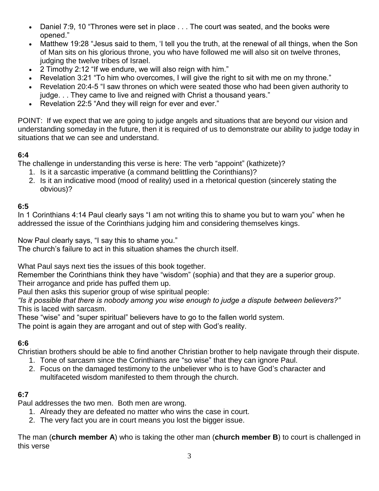- Daniel 7:9, 10 "Thrones were set in place . . . The court was seated, and the books were opened."
- Matthew 19:28 "Jesus said to them, 'I tell you the truth, at the renewal of all things, when the Son of Man sits on his glorious throne, you who have followed me will also sit on twelve thrones, judging the twelve tribes of Israel.
- 2 Timothy 2:12 "If we endure, we will also reign with him."
- Revelation 3:21 "To him who overcomes, I will give the right to sit with me on my throne."
- Revelation 20:4-5 "I saw thrones on which were seated those who had been given authority to judge. . . They came to live and reigned with Christ a thousand years."
- Revelation 22:5 "And they will reign for ever and ever."

POINT: If we expect that we are going to judge angels and situations that are beyond our vision and understanding someday in the future, then it is required of us to demonstrate our ability to judge today in situations that we can see and understand.

#### **6:4**

The challenge in understanding this verse is here: The verb "appoint" (kathizete)?

- 1. Is it a sarcastic imperative (a command belittling the Corinthians)?
- 2. Is it an indicative mood (mood of reality) used in a rhetorical question (sincerely stating the obvious)?

#### **6:5**

In 1 Corinthians 4:14 Paul clearly says "I am not writing this to shame you but to warn you" when he addressed the issue of the Corinthians judging him and considering themselves kings.

Now Paul clearly says, "I say this to shame you."

The church's failure to act in this situation shames the church itself.

What Paul says next ties the issues of this book together.

Remember the Corinthians think they have "wisdom" (sophia) and that they are a superior group. Their arrogance and pride has puffed them up.

Paul then asks this superior group of wise spiritual people:

*"Is it possible that there is nobody among you wise enough to judge a dispute between believers?"* This is laced with sarcasm.

These "wise" and "super spiritual" believers have to go to the fallen world system.

The point is again they are arrogant and out of step with God's reality.

#### **6:6**

Christian brothers should be able to find another Christian brother to help navigate through their dispute.

- 1. Tone of sarcasm since the Corinthians are "so wise" that they can ignore Paul.
- 2. Focus on the damaged testimony to the unbeliever who is to have God's character and multifaceted wisdom manifested to them through the church.

## **6:7**

Paul addresses the two men. Both men are wrong.

- 1. Already they are defeated no matter who wins the case in court.
- 2. The very fact you are in court means you lost the bigger issue.

The man (**church member A**) who is taking the other man (**church member B**) to court is challenged in this verse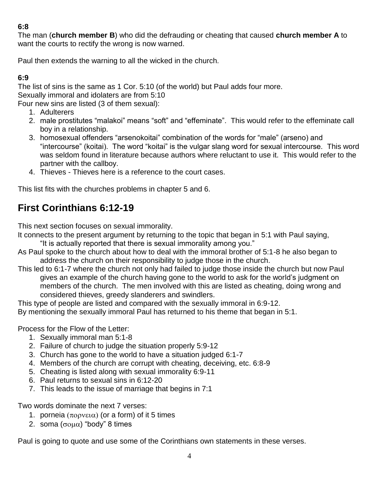### **6:8**

The man (**church member B**) who did the defrauding or cheating that caused **church member A** to want the courts to rectify the wrong is now warned.

Paul then extends the warning to all the wicked in the church.

### **6:9**

The list of sins is the same as 1 Cor. 5:10 (of the world) but Paul adds four more.

Sexually immoral and idolaters are from 5:10

Four new sins are listed (3 of them sexual):

- 1. Adulterers
- 2. male prostitutes "malakoi" means "soft" and "effeminate". This would refer to the effeminate call boy in a relationship.
- 3. homosexual offenders "arsenokoitai" combination of the words for "male" (arseno) and "intercourse" (koitai). The word "koitai" is the vulgar slang word for sexual intercourse. This word was seldom found in literature because authors where reluctant to use it. This would refer to the partner with the callboy.
- 4. Thieves Thieves here is a reference to the court cases.

This list fits with the churches problems in chapter 5 and 6.

# **First Corinthians 6:12-19**

This next section focuses on sexual immorality.

It connects to the present argument by returning to the topic that began in 5:1 with Paul saying,

"It is actually reported that there is sexual immorality among you."

- As Paul spoke to the church about how to deal with the immoral brother of 5:1-8 he also began to address the church on their responsibility to judge those in the church.
- This led to 6:1-7 where the church not only had failed to judge those inside the church but now Paul gives an example of the church having gone to the world to ask for the world's judgment on members of the church. The men involved with this are listed as cheating, doing wrong and considered thieves, greedy slanderers and swindlers.

This type of people are listed and compared with the sexually immoral in 6:9-12.

By mentioning the sexually immoral Paul has returned to his theme that began in 5:1.

Process for the Flow of the Letter:

- 1. Sexually immoral man 5:1-8
- 2. Failure of church to judge the situation properly 5:9-12
- 3. Church has gone to the world to have a situation judged 6:1-7
- 4. Members of the church are corrupt with cheating, deceiving, etc. 6:8-9
- 5. Cheating is listed along with sexual immorality 6:9-11
- 6. Paul returns to sexual sins in 6:12-20
- 7. This leads to the issue of marriage that begins in 7:1

Two words dominate the next 7 verses:

- 1. porneia  $(\pi \circ \rho \vee \varepsilon \alpha)$  (or a form) of it 5 times
- 2. soma  $(\sigma \circ \mu \alpha)$  "body" 8 times

Paul is going to quote and use some of the Corinthians own statements in these verses.